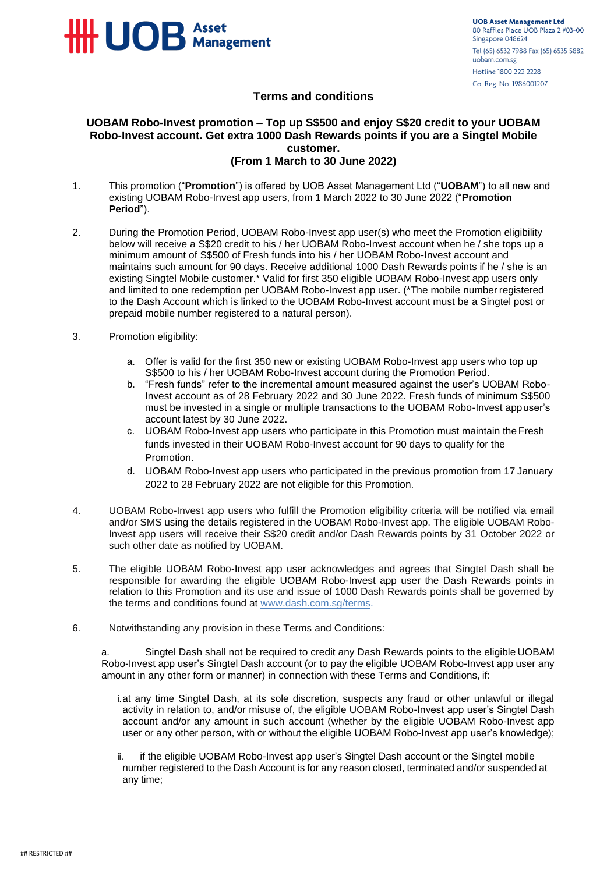

## **Terms and conditions**

## **UOBAM Robo-Invest promotion – Top up S\$500 and enjoy S\$20 credit to your UOBAM Robo-Invest account. Get extra 1000 Dash Rewards points if you are a Singtel Mobile customer. (From 1 March to 30 June 2022)**

- 1. This promotion ("**Promotion**") is offered by UOB Asset Management Ltd ("**UOBAM**") to all new and existing UOBAM Robo-Invest app users, from 1 March 2022 to 30 June 2022 ("**Promotion Period**").
- 2. During the Promotion Period, UOBAM Robo-Invest app user(s) who meet the Promotion eligibility below will receive a S\$20 credit to his / her UOBAM Robo-Invest account when he / she tops up a minimum amount of S\$500 of Fresh funds into his / her UOBAM Robo-Invest account and maintains such amount for 90 days. Receive additional 1000 Dash Rewards points if he / she is an existing Singtel Mobile customer.\* Valid for first 350 eligible UOBAM Robo-Invest app users only and limited to one redemption per UOBAM Robo-Invest app user. (\*The mobile number registered to the Dash Account which is linked to the UOBAM Robo-Invest account must be a Singtel post or prepaid mobile number registered to a natural person).
- 3. Promotion eligibility:
	- a. Offer is valid for the first 350 new or existing UOBAM Robo-Invest app users who top up S\$500 to his / her UOBAM Robo-Invest account during the Promotion Period.
	- b. "Fresh funds" refer to the incremental amount measured against the user's UOBAM Robo-Invest account as of 28 February 2022 and 30 June 2022. Fresh funds of minimum S\$500 must be invested in a single or multiple transactions to the UOBAM Robo-Invest appuser's account latest by 30 June 2022.
	- c. UOBAM Robo-Invest app users who participate in this Promotion must maintain the Fresh funds invested in their UOBAM Robo-Invest account for 90 days to qualify for the Promotion.
	- d. UOBAM Robo-Invest app users who participated in the previous promotion from 17 January 2022 to 28 February 2022 are not eligible for this Promotion.
- 4. UOBAM Robo-Invest app users who fulfill the Promotion eligibility criteria will be notified via email and/or SMS using the details registered in the UOBAM Robo-Invest app. The eligible UOBAM Robo-Invest app users will receive their S\$20 credit and/or Dash Rewards points by 31 October 2022 or such other date as notified by UOBAM.
- 5. The eligible UOBAM Robo-Invest app user acknowledges and agrees that Singtel Dash shall be responsible for awarding the eligible UOBAM Robo-Invest app user the Dash Rewards points in relation to this Promotion and its use and issue of 1000 Dash Rewards points shall be governed by the terms and conditions found at [www.dash.com.sg/terms.](http://www.dash.com.sg/terms)
- 6. Notwithstanding any provision in these Terms and Conditions:

a. Singtel Dash shall not be required to credit any Dash Rewards points to the eligible UOBAM Robo-Invest app user's Singtel Dash account (or to pay the eligible UOBAM Robo-Invest app user any amount in any other form or manner) in connection with these Terms and Conditions, if:

- i.at any time Singtel Dash, at its sole discretion, suspects any fraud or other unlawful or illegal activity in relation to, and/or misuse of, the eligible UOBAM Robo-Invest app user's Singtel Dash account and/or any amount in such account (whether by the eligible UOBAM Robo-Invest app user or any other person, with or without the eligible UOBAM Robo-Invest app user's knowledge);
- ii. if the eligible UOBAM Robo-Invest app user's Singtel Dash account or the Singtel mobile number registered to the Dash Account is for any reason closed, terminated and/or suspended at any time;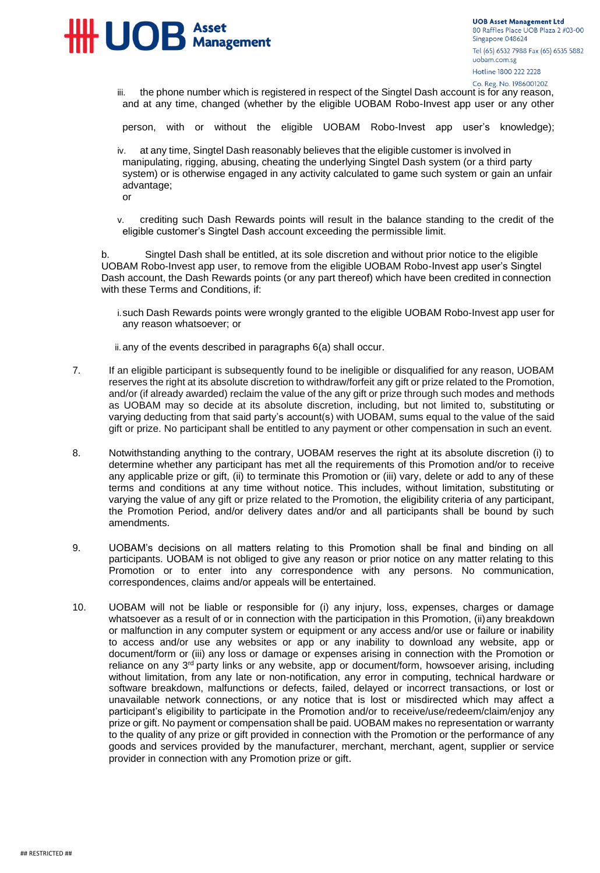

iii. the phone number which is registered in respect of the Singtel Dash account is for any reason, and at any time, changed (whether by the eligible UOBAM Robo-Invest app user or any other

person, with or without the eligible UOBAM Robo-Invest app user's knowledge);

iv. at any time, Singtel Dash reasonably believes that the eligible customer is involved in manipulating, rigging, abusing, cheating the underlying Singtel Dash system (or a third party system) or is otherwise engaged in any activity calculated to game such system or gain an unfair advantage;

or

v. crediting such Dash Rewards points will result in the balance standing to the credit of the eligible customer's Singtel Dash account exceeding the permissible limit.

b. Singtel Dash shall be entitled, at its sole discretion and without prior notice to the eligible UOBAM Robo-Invest app user, to remove from the eligible UOBAM Robo-Invest app user's Singtel Dash account, the Dash Rewards points (or any part thereof) which have been credited in connection with these Terms and Conditions, if:

i.such Dash Rewards points were wrongly granted to the eligible UOBAM Robo-Invest app user for any reason whatsoever; or

ii.any of the events described in paragraphs 6(a) shall occur.

- 7. If an eligible participant is subsequently found to be ineligible or disqualified for any reason, UOBAM reserves the right at its absolute discretion to withdraw/forfeit any gift or prize related to the Promotion, and/or (if already awarded) reclaim the value of the any gift or prize through such modes and methods as UOBAM may so decide at its absolute discretion, including, but not limited to, substituting or varying deducting from that said party's account(s) with UOBAM, sums equal to the value of the said gift or prize. No participant shall be entitled to any payment or other compensation in such an event.
- 8. Notwithstanding anything to the contrary, UOBAM reserves the right at its absolute discretion (i) to determine whether any participant has met all the requirements of this Promotion and/or to receive any applicable prize or gift, (ii) to terminate this Promotion or (iii) vary, delete or add to any of these terms and conditions at any time without notice. This includes, without limitation, substituting or varying the value of any gift or prize related to the Promotion, the eligibility criteria of any participant, the Promotion Period, and/or delivery dates and/or and all participants shall be bound by such amendments.
- 9. UOBAM's decisions on all matters relating to this Promotion shall be final and binding on all participants. UOBAM is not obliged to give any reason or prior notice on any matter relating to this Promotion or to enter into any correspondence with any persons. No communication, correspondences, claims and/or appeals will be entertained.
- 10. UOBAM will not be liable or responsible for (i) any injury, loss, expenses, charges or damage whatsoever as a result of or in connection with the participation in this Promotion, (ii) any breakdown or malfunction in any computer system or equipment or any access and/or use or failure or inability to access and/or use any websites or app or any inability to download any website, app or document/form or (iii) any loss or damage or expenses arising in connection with the Promotion or reliance on any 3<sup>rd</sup> party links or any website, app or document/form, howsoever arising, including without limitation, from any late or non-notification, any error in computing, technical hardware or software breakdown, malfunctions or defects, failed, delayed or incorrect transactions, or lost or unavailable network connections, or any notice that is lost or misdirected which may affect a participant's eligibility to participate in the Promotion and/or to receive/use/redeem/claim/enjoy any prize or gift. No payment or compensation shall be paid. UOBAM makes no representation or warranty to the quality of any prize or gift provided in connection with the Promotion or the performance of any goods and services provided by the manufacturer, merchant, merchant, agent, supplier or service provider in connection with any Promotion prize or gift.